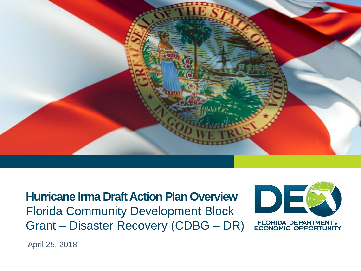

**Hurricane Irma Draft Action Plan Overview** Florida Community Development Block Grant – Disaster Recovery (CDBG – DR)



April 25, 2018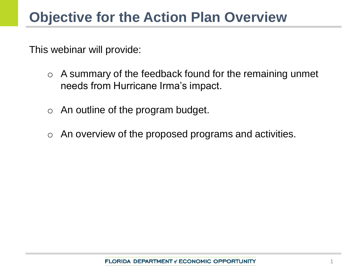This webinar will provide:

- $\circ$  A summary of the feedback found for the remaining unmet needs from Hurricane Irma's impact.
- $\circ$  An outline of the program budget.
- $\circ$  An overview of the proposed programs and activities.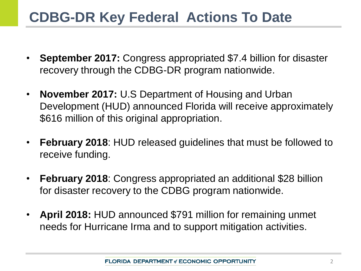# **CDBG-DR Key Federal Actions To Date**

- **September 2017:** Congress appropriated \$7.4 billion for disaster recovery through the CDBG-DR program nationwide.
- **November 2017:** U.S Department of Housing and Urban Development (HUD) announced Florida will receive approximately \$616 million of this original appropriation.
- **February 2018**: HUD released guidelines that must be followed to receive funding.
- **February 2018**: Congress appropriated an additional \$28 billion for disaster recovery to the CDBG program nationwide.
- **April 2018:** HUD announced \$791 million for remaining unmet needs for Hurricane Irma and to support mitigation activities.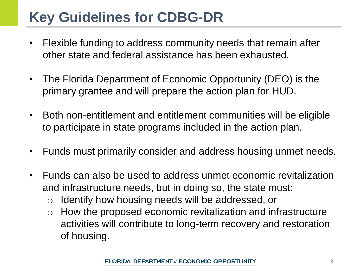# **Key Guidelines for CDBG-DR**

- Flexible funding to address community needs that remain after other state and federal assistance has been exhausted.
- The Florida Department of Economic Opportunity (DEO) is the primary grantee and will prepare the action plan for HUD.
- Both non-entitlement and entitlement communities will be eligible to participate in state programs included in the action plan.
- Funds must primarily consider and address housing unmet needs.
- Funds can also be used to address unmet economic revitalization and infrastructure needs, but in doing so, the state must:
	- o Identify how housing needs will be addressed, or
	- o How the proposed economic revitalization and infrastructure activities will contribute to long-term recovery and restoration of housing.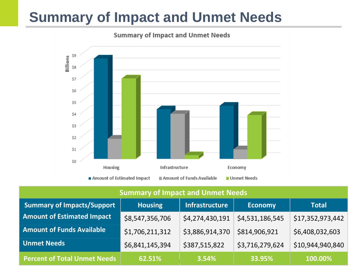# **Summary of Impact and Unmet Needs**



#### **Summary of Impact and Unmet Needs**

| <b>Summary of Impacts/Support</b>   | <b>Housing</b>  | <b>Infrastructure</b> | <b>Economy</b>  | <b>Total</b>     |
|-------------------------------------|-----------------|-----------------------|-----------------|------------------|
| <b>Amount of Estimated Impact</b>   | \$8,547,356,706 | \$4,274,430,191       | \$4,531,186,545 | \$17,352,973,442 |
| <b>Amount of Funds Available</b>    | \$1,706,211,312 | \$3,886,914,370       | \$814,906,921   | \$6,408,032,603  |
| <b>Unmet Needs</b>                  | \$6,841,145,394 | \$387,515,822         | \$3,716,279,624 | \$10,944,940,840 |
| <b>Percent of Total Unmet Needs</b> | 62.51%          | 3.54%                 | 33.95%          | 100.00%          |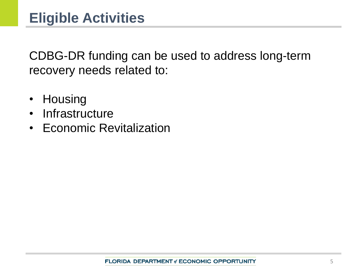CDBG-DR funding can be used to address long-term recovery needs related to:

- Housing
- Infrastructure
- Economic Revitalization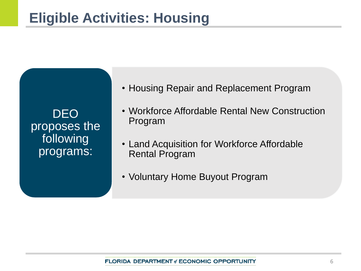DEO proposes the following programs:

- Housing Repair and Replacement Program
- Workforce Affordable Rental New Construction Program
- Land Acquisition for Workforce Affordable Rental Program
- Voluntary Home Buyout Program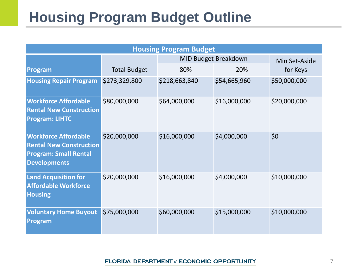# **Housing Program Budget Outline**

| <b>Housing Program Budget</b>                                                                                        |                     |                             |              |               |  |  |  |
|----------------------------------------------------------------------------------------------------------------------|---------------------|-----------------------------|--------------|---------------|--|--|--|
|                                                                                                                      |                     | <b>MID Budget Breakdown</b> |              | Min Set-Aside |  |  |  |
| Program                                                                                                              | <b>Total Budget</b> | 80%                         | 20%          | for Keys      |  |  |  |
| <b>Housing Repair Program</b>                                                                                        | \$273,329,800       | \$218,663,840               | \$54,665,960 | \$50,000,000  |  |  |  |
| <b>Workforce Affordable</b><br><b>Rental New Construction</b><br><b>Program: LIHTC</b>                               | \$80,000,000        | \$64,000,000                | \$16,000,000 | \$20,000,000  |  |  |  |
| <b>Workforce Affordable</b><br><b>Rental New Construction</b><br><b>Program: Small Rental</b><br><b>Developments</b> | \$20,000,000        | \$16,000,000                | \$4,000,000  | \$0           |  |  |  |
| <b>Land Acquisition for</b><br><b>Affordable Workforce</b><br><b>Housing</b>                                         | \$20,000,000        | \$16,000,000                | \$4,000,000  | \$10,000,000  |  |  |  |
| <b>Voluntary Home Buyout</b><br><b>Program</b>                                                                       | \$75,000,000        | \$60,000,000                | \$15,000,000 | \$10,000,000  |  |  |  |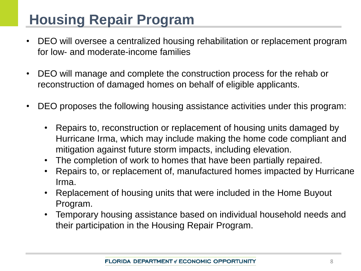# **Housing Repair Program**

- DEO will oversee a centralized housing rehabilitation or replacement program for low- and moderate-income families
- DEO will manage and complete the construction process for the rehab or reconstruction of damaged homes on behalf of eligible applicants.
- DEO proposes the following housing assistance activities under this program:
	- Repairs to, reconstruction or replacement of housing units damaged by Hurricane Irma, which may include making the home code compliant and mitigation against future storm impacts, including elevation.
	- The completion of work to homes that have been partially repaired.
	- Repairs to, or replacement of, manufactured homes impacted by Hurricane Irma.
	- Replacement of housing units that were included in the Home Buyout Program.
	- Temporary housing assistance based on individual household needs and their participation in the Housing Repair Program.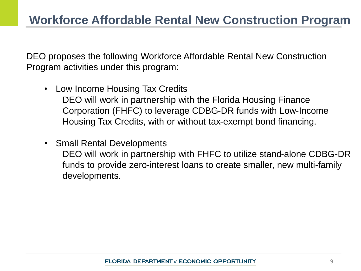DEO proposes the following Workforce Affordable Rental New Construction Program activities under this program:

- Low Income Housing Tax Credits DEO will work in partnership with the Florida Housing Finance Corporation (FHFC) to leverage CDBG-DR funds with Low-Income Housing Tax Credits, with or without tax-exempt bond financing.
- Small Rental Developments DEO will work in partnership with FHFC to utilize stand-alone CDBG-DR funds to provide zero-interest loans to create smaller, new multi-family developments.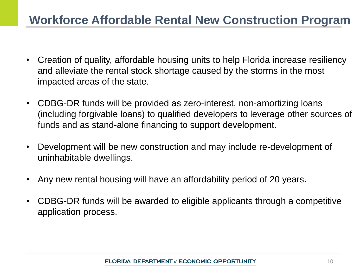#### **Workforce Affordable Rental New Construction Program**

- Creation of quality, affordable housing units to help Florida increase resiliency and alleviate the rental stock shortage caused by the storms in the most impacted areas of the state.
- CDBG-DR funds will be provided as zero-interest, non-amortizing loans (including forgivable loans) to qualified developers to leverage other sources of funds and as stand-alone financing to support development.
- Development will be new construction and may include re-development of uninhabitable dwellings.
- Any new rental housing will have an affordability period of 20 years.
- CDBG-DR funds will be awarded to eligible applicants through a competitive application process.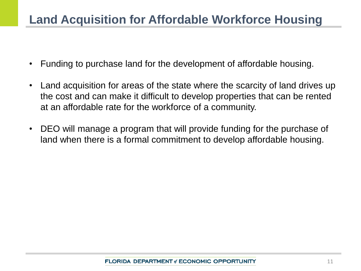### **Land Acquisition for Affordable Workforce Housing**

- Funding to purchase land for the development of affordable housing.
- Land acquisition for areas of the state where the scarcity of land drives up the cost and can make it difficult to develop properties that can be rented at an affordable rate for the workforce of a community.
- DEO will manage a program that will provide funding for the purchase of land when there is a formal commitment to develop affordable housing.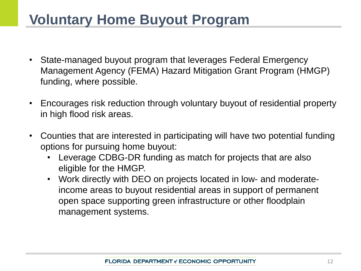# **Voluntary Home Buyout Program**

- State-managed buyout program that leverages Federal Emergency Management Agency (FEMA) Hazard Mitigation Grant Program (HMGP) funding, where possible.
- Encourages risk reduction through voluntary buyout of residential property in high flood risk areas.
- Counties that are interested in participating will have two potential funding options for pursuing home buyout:
	- Leverage CDBG-DR funding as match for projects that are also eligible for the HMGP.
	- Work directly with DEO on projects located in low- and moderateincome areas to buyout residential areas in support of permanent open space supporting green infrastructure or other floodplain management systems.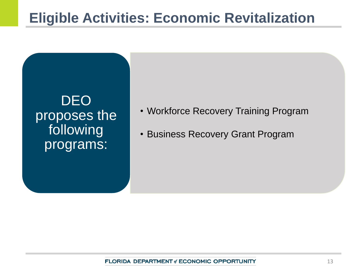### DEO proposes the following programs:

- Workforce Recovery Training Program
- Business Recovery Grant Program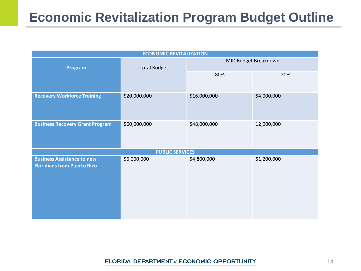### **Economic Revitalization Program Budget Outline**

| <b>ECONOMIC REVITALIZATION</b>                                          |                     |                      |             |  |  |  |  |  |
|-------------------------------------------------------------------------|---------------------|----------------------|-------------|--|--|--|--|--|
| Program                                                                 | <b>Total Budget</b> | MID Budget Breakdown |             |  |  |  |  |  |
|                                                                         |                     | 80%                  | 20%         |  |  |  |  |  |
| <b>Recovery Workforce Training</b>                                      | \$20,000,000        | \$16,000,000         | \$4,000,000 |  |  |  |  |  |
| <b>Business Recovery Grant Program</b>                                  | \$60,000,000        | \$48,000,000         | 12,000,000  |  |  |  |  |  |
| <b>PUBLIC SERVICES</b>                                                  |                     |                      |             |  |  |  |  |  |
| <b>Business Assistance to new</b><br><b>Floridians from Puerto Rico</b> | \$6,000,000         | \$4,800,000          | \$1,200,000 |  |  |  |  |  |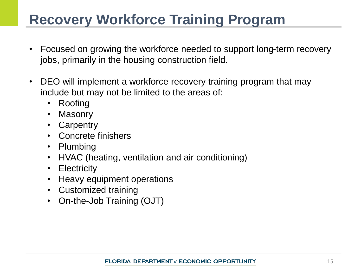# **Recovery Workforce Training Program**

- Focused on growing the workforce needed to support long-term recovery jobs, primarily in the housing construction field.
- DEO will implement a workforce recovery training program that may include but may not be limited to the areas of:
	- Roofing
	- **Masonry**
	- **Carpentry**
	- Concrete finishers
	- Plumbing
	- HVAC (heating, ventilation and air conditioning)
	- Electricity
	- Heavy equipment operations
	- Customized training
	- On-the-Job Training (OJT)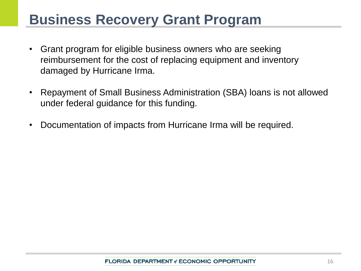# **Business Recovery Grant Program**

- Grant program for eligible business owners who are seeking reimbursement for the cost of replacing equipment and inventory damaged by Hurricane Irma.
- Repayment of Small Business Administration (SBA) loans is not allowed under federal guidance for this funding.
- Documentation of impacts from Hurricane Irma will be required.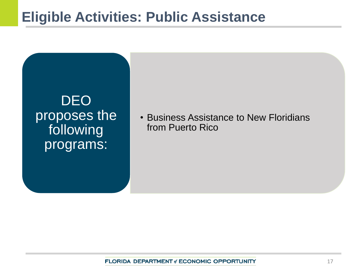DEO proposes the following programs:

• Business Assistance to New Floridians from Puerto Rico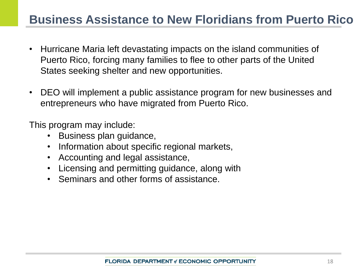#### **Business Assistance to New Floridians from Puerto Rico**

- Hurricane Maria left devastating impacts on the island communities of Puerto Rico, forcing many families to flee to other parts of the United States seeking shelter and new opportunities.
- DEO will implement a public assistance program for new businesses and entrepreneurs who have migrated from Puerto Rico.

This program may include:

- Business plan guidance,
- Information about specific regional markets,
- Accounting and legal assistance,
- Licensing and permitting guidance, along with
- Seminars and other forms of assistance.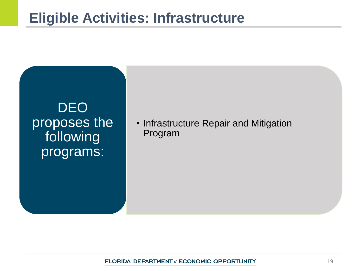DEO proposes the following programs:

• Infrastructure Repair and Mitigation Program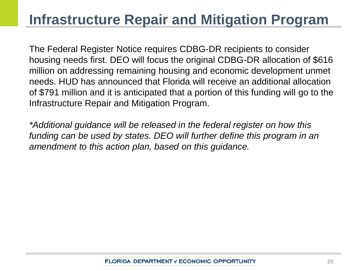# **Infrastructure Repair and Mitigation Program**

The Federal Register Notice requires CDBG-DR recipients to consider housing needs first. DEO will focus the original CDBG-DR allocation of \$616 million on addressing remaining housing and economic development unmet needs. HUD has announced that Florida will receive an additional allocation of \$791 million and it is anticipated that a portion of this funding will go to the Infrastructure Repair and Mitigation Program.

*\*Additional guidance will be released in the federal register on how this*  funding can be used by states. DEO will further define this program in an *amendment to this action plan, based on this guidance.*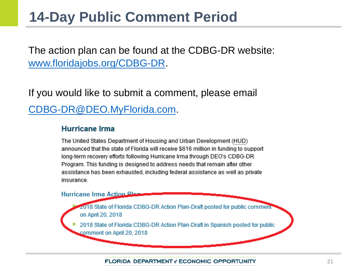# **14-Day Public Comment Period**

The action plan can be found at the CDBG-DR website: [www.floridajobs.org/CDBG-DR.](http://www.floridajobs.org/CDBG-DR)

If you would like to submit a comment, please email [CDBG-DR@DEO.MyFlorida.com](mailto:CDBG-DR@DEO.MyFlorida.com).

#### **Hurricane Irma**

The United States Department of Housing and Urban Development (HUD) announced that the state of Florida will receive \$616 million in funding to support long-term recovery efforts following Hurricane Irma through DEO's CDBG-DR Program. This funding is designed to address needs that remain after other assistance has been exhausted, including federal assistance as well as private insurance.

Hurricane Irma Action Ple

2018 State of Florida CDBG-DR Action Plan-Draft posted for public comment on April 20, 2018

2018 State of Florida CDBG-DR Action Plan-Draft in Spanish posted for public comment on April 20, 2018

#### **FLORIDA DEPARTMENT of ECONOMIC OPPORTUNITY**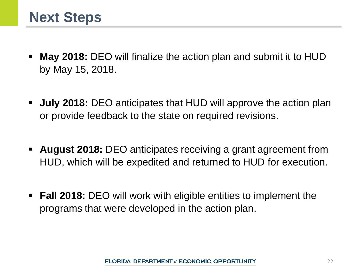- **May 2018:** DEO will finalize the action plan and submit it to HUD by May 15, 2018.
- **July 2018:** DEO anticipates that HUD will approve the action plan or provide feedback to the state on required revisions.
- **August 2018:** DEO anticipates receiving a grant agreement from HUD, which will be expedited and returned to HUD for execution.
- **Fall 2018:** DEO will work with eligible entities to implement the programs that were developed in the action plan.